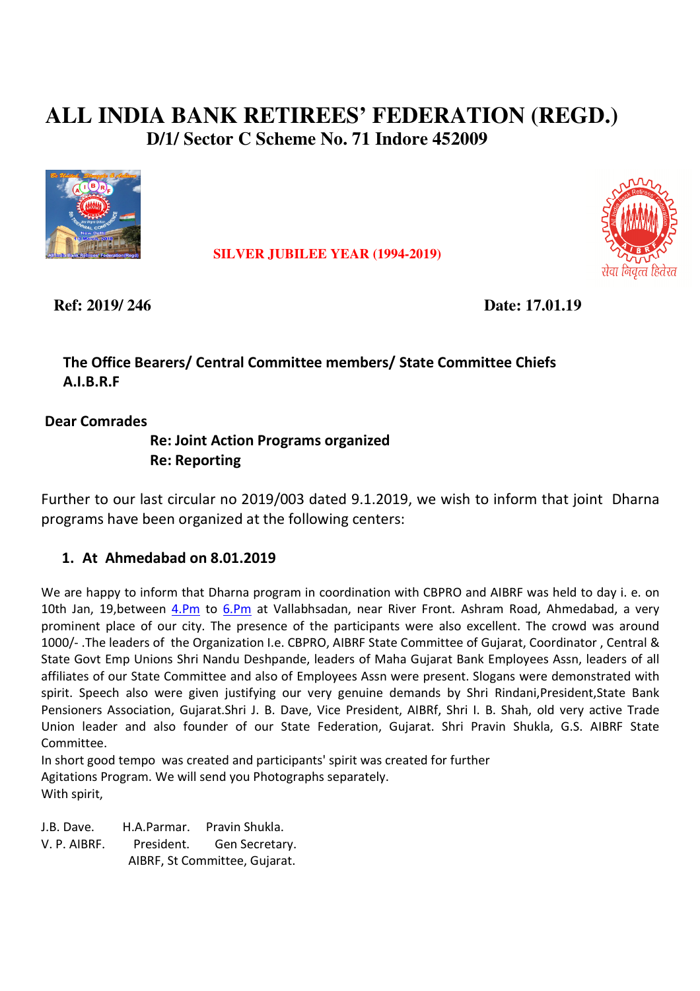# **ALL INDIA BANK RETIREES' FEDERATION (REGD.) D/1/ Sector C Scheme No. 71 Indore 452009**



 **SILVER JUBILEE YEAR (1994-2019)**



 **Ref: 2019/ 246 Date: 17.01.19** 

# **The Office Bearers/ Central Committee members/ State Committee Chiefs A.I.B.R.F**

 **Dear Comrades** 

# **Re: Joint Action Programs organized Re: Reporting**

Further to our last circular no 2019/003 dated 9.1.2019, we wish to inform that joint Dharna programs have been organized at the following centers:

# **1. At Ahmedabad on 8.01.2019**

We are happy to inform that Dharna program in coordination with CBPRO and AIBRF was held to day i. e. on 10th Jan, 19, between 4.Pm to 6.Pm at Vallabhsadan, near River Front. Ashram Road, Ahmedabad, a very prominent place of our city. The presence of the participants were also excellent. The crowd was around 1000/- .The leaders of the Organization I.e. CBPRO, AIBRF State Committee of Gujarat, Coordinator , Central & State Govt Emp Unions Shri Nandu Deshpande, leaders of Maha Gujarat Bank Employees Assn, leaders of all affiliates of our State Committee and also of Employees Assn were present. Slogans were demonstrated with spirit. Speech also were given justifying our very genuine demands by Shri Rindani,President,State Bank Pensioners Association, Gujarat.Shri J. B. Dave, Vice President, AIBRf, Shri I. B. Shah, old very active Trade Union leader and also founder of our State Federation, Gujarat. Shri Pravin Shukla, G.S. AIBRF State Committee.

In short good tempo was created and participants' spirit was created for further Agitations Program. We will send you Photographs separately. With spirit,

J.B. Dave. H.A.Parmar. Pravin Shukla. V. P. AIBRF. President. Gen Secretary. AIBRF, St Committee, Gujarat.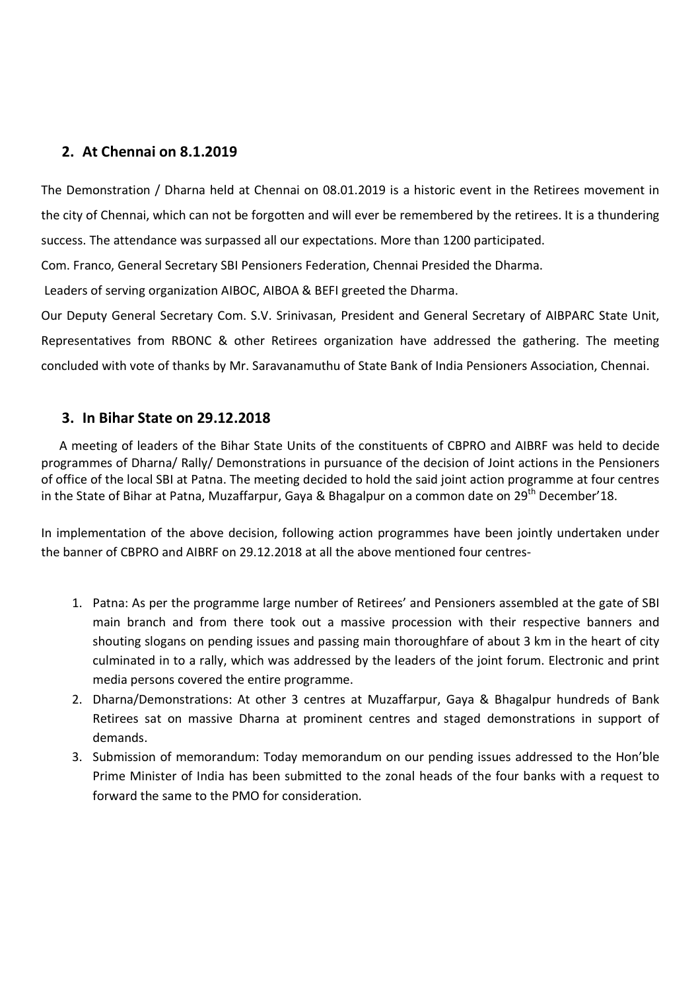### **2. At Chennai on 8.1.2019**

The Demonstration / Dharna held at Chennai on 08.01.2019 is a historic event in the Retirees movement in the city of Chennai, which can not be forgotten and will ever be remembered by the retirees. It is a thundering success. The attendance was surpassed all our expectations. More than 1200 participated.

Com. Franco, General Secretary SBI Pensioners Federation, Chennai Presided the Dharma.

Leaders of serving organization AIBOC, AIBOA & BEFI greeted the Dharma.

Our Deputy General Secretary Com. S.V. Srinivasan, President and General Secretary of AIBPARC State Unit, Representatives from RBONC & other Retirees organization have addressed the gathering. The meeting concluded with vote of thanks by Mr. Saravanamuthu of State Bank of India Pensioners Association, Chennai.

#### **3. In Bihar State on 29.12.2018**

A meeting of leaders of the Bihar State Units of the constituents of CBPRO and AIBRF was held to decide programmes of Dharna/ Rally/ Demonstrations in pursuance of the decision of Joint actions in the Pensioners of office of the local SBI at Patna. The meeting decided to hold the said joint action programme at four centres in the State of Bihar at Patna, Muzaffarpur, Gaya & Bhagalpur on a common date on 29<sup>th</sup> December'18.

In implementation of the above decision, following action programmes have been jointly undertaken under the banner of CBPRO and AIBRF on 29.12.2018 at all the above mentioned four centres-

- 1. Patna: As per the programme large number of Retirees' and Pensioners assembled at the gate of SBI main branch and from there took out a massive procession with their respective banners and shouting slogans on pending issues and passing main thoroughfare of about 3 km in the heart of city culminated in to a rally, which was addressed by the leaders of the joint forum. Electronic and print media persons covered the entire programme.
- 2. Dharna/Demonstrations: At other 3 centres at Muzaffarpur, Gaya & Bhagalpur hundreds of Bank Retirees sat on massive Dharna at prominent centres and staged demonstrations in support of demands.
- 3. Submission of memorandum: Today memorandum on our pending issues addressed to the Hon'ble Prime Minister of India has been submitted to the zonal heads of the four banks with a request to forward the same to the PMO for consideration.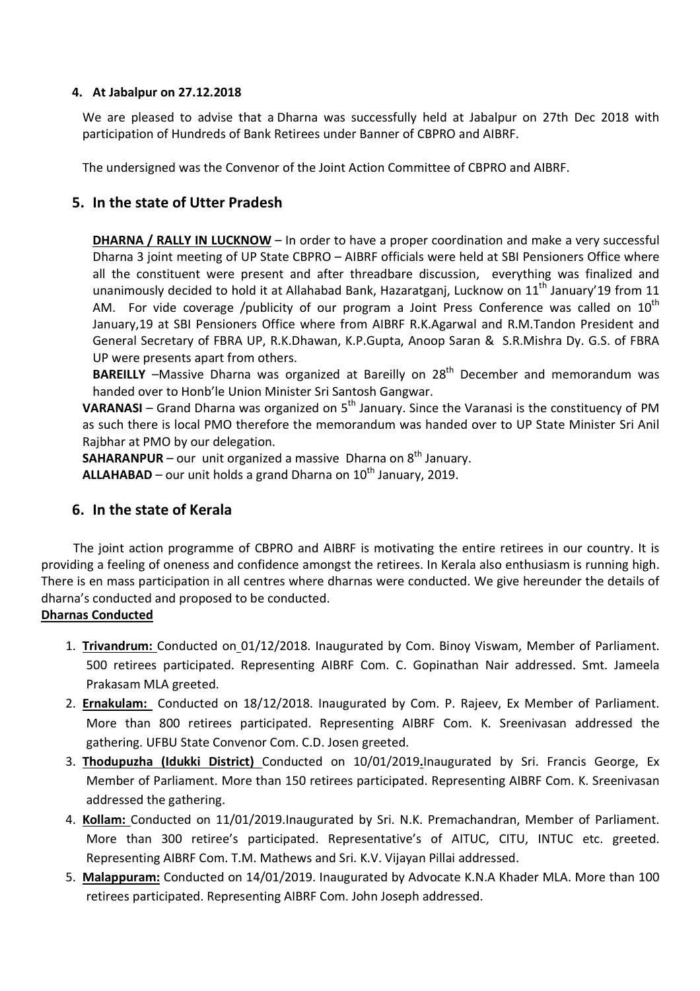#### **4. At Jabalpur on 27.12.2018**

We are pleased to advise that a Dharna was successfully held at Jabalpur on 27th Dec 2018 with participation of Hundreds of Bank Retirees under Banner of CBPRO and AIBRF.

The undersigned was the Convenor of the Joint Action Committee of CBPRO and AIBRF.

#### **5. In the state of Utter Pradesh**

**DHARNA / RALLY IN LUCKNOW** – In order to have a proper coordination and make a very successful Dharna 3 joint meeting of UP State CBPRO – AIBRF officials were held at SBI Pensioners Office where all the constituent were present and after threadbare discussion, everything was finalized and unanimously decided to hold it at Allahabad Bank, Hazaratgani, Lucknow on  $11<sup>th</sup>$  January'19 from 11 AM. For vide coverage /publicity of our program a Joint Press Conference was called on 10<sup>th</sup> January,19 at SBI Pensioners Office where from AIBRF R.K.Agarwal and R.M.Tandon President and General Secretary of FBRA UP, R.K.Dhawan, K.P.Gupta, Anoop Saran & S.R.Mishra Dy. G.S. of FBRA UP were presents apart from others.

**BAREILLY** –Massive Dharna was organized at Bareilly on 28<sup>th</sup> December and memorandum was handed over to Honb'le Union Minister Sri Santosh Gangwar.

**VARANASI** – Grand Dharna was organized on 5<sup>th</sup> January. Since the Varanasi is the constituency of PM as such there is local PMO therefore the memorandum was handed over to UP State Minister Sri Anil Rajbhar at PMO by our delegation.

**SAHARANPUR** – our unit organized a massive Dharna on 8<sup>th</sup> January.

**ALLAHABAD** – our unit holds a grand Dharna on  $10<sup>th</sup>$  January, 2019.

#### **6. In the state of Kerala**

The joint action programme of CBPRO and AIBRF is motivating the entire retirees in our country. It is providing a feeling of oneness and confidence amongst the retirees. In Kerala also enthusiasm is running high. There is en mass participation in all centres where dharnas were conducted. We give hereunder the details of dharna's conducted and proposed to be conducted.

#### **Dharnas Conducted**

- 1. **Trivandrum:** Conducted on 01/12/2018. Inaugurated by Com. Binoy Viswam, Member of Parliament. 500 retirees participated. Representing AIBRF Com. C. Gopinathan Nair addressed. Smt. Jameela Prakasam MLA greeted.
- 2. **Ernakulam:** Conducted on 18/12/2018. Inaugurated by Com. P. Rajeev, Ex Member of Parliament. More than 800 retirees participated. Representing AIBRF Com. K. Sreenivasan addressed the gathering. UFBU State Convenor Com. C.D. Josen greeted.
- 3. **Thodupuzha (Idukki District)** Conducted on 10/01/2019**.**Inaugurated by Sri. Francis George, Ex Member of Parliament. More than 150 retirees participated. Representing AIBRF Com. K. Sreenivasan addressed the gathering.
- 4. **Kollam:** Conducted on 11/01/2019.Inaugurated by Sri. N.K. Premachandran, Member of Parliament. More than 300 retiree's participated. Representative's of AITUC, CITU, INTUC etc. greeted. Representing AIBRF Com. T.M. Mathews and Sri. K.V. Vijayan Pillai addressed.
- 5. **Malappuram:** Conducted on 14/01/2019. Inaugurated by Advocate K.N.A Khader MLA. More than 100 retirees participated. Representing AIBRF Com. John Joseph addressed.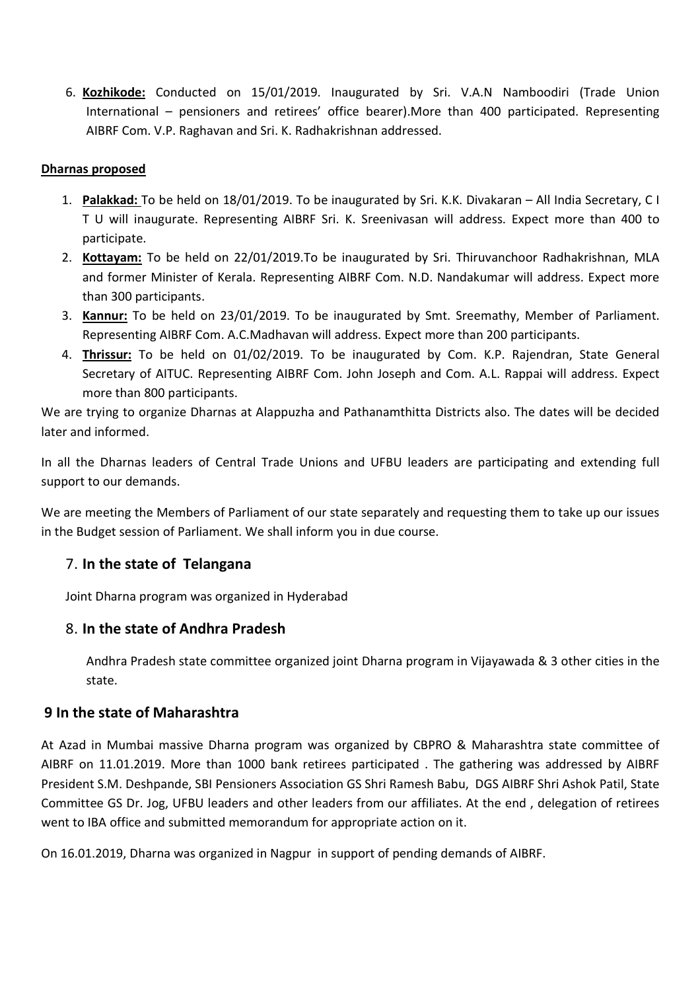6. **Kozhikode:** Conducted on 15/01/2019. Inaugurated by Sri. V.A.N Namboodiri (Trade Union International – pensioners and retirees' office bearer).More than 400 participated. Representing AIBRF Com. V.P. Raghavan and Sri. K. Radhakrishnan addressed.

#### **Dharnas proposed**

- 1. **Palakkad:** To be held on 18/01/2019. To be inaugurated by Sri. K.K. Divakaran All India Secretary, C I T U will inaugurate. Representing AIBRF Sri. K. Sreenivasan will address. Expect more than 400 to participate.
- 2. **Kottayam:** To be held on 22/01/2019.To be inaugurated by Sri. Thiruvanchoor Radhakrishnan, MLA and former Minister of Kerala. Representing AIBRF Com. N.D. Nandakumar will address. Expect more than 300 participants.
- 3. **Kannur:** To be held on 23/01/2019. To be inaugurated by Smt. Sreemathy, Member of Parliament. Representing AIBRF Com. A.C.Madhavan will address. Expect more than 200 participants.
- 4. **Thrissur:** To be held on 01/02/2019. To be inaugurated by Com. K.P. Rajendran, State General Secretary of AITUC. Representing AIBRF Com. John Joseph and Com. A.L. Rappai will address. Expect more than 800 participants.

We are trying to organize Dharnas at Alappuzha and Pathanamthitta Districts also. The dates will be decided later and informed.

In all the Dharnas leaders of Central Trade Unions and UFBU leaders are participating and extending full support to our demands.

We are meeting the Members of Parliament of our state separately and requesting them to take up our issues in the Budget session of Parliament. We shall inform you in due course.

# 7. **In the state of Telangana**

Joint Dharna program was organized in Hyderabad

# 8. **In the state of Andhra Pradesh**

Andhra Pradesh state committee organized joint Dharna program in Vijayawada & 3 other cities in the state.

# **9 In the state of Maharashtra**

At Azad in Mumbai massive Dharna program was organized by CBPRO & Maharashtra state committee of AIBRF on 11.01.2019. More than 1000 bank retirees participated . The gathering was addressed by AIBRF President S.M. Deshpande, SBI Pensioners Association GS Shri Ramesh Babu, DGS AIBRF Shri Ashok Patil, State Committee GS Dr. Jog, UFBU leaders and other leaders from our affiliates. At the end , delegation of retirees went to IBA office and submitted memorandum for appropriate action on it.

On 16.01.2019, Dharna was organized in Nagpur in support of pending demands of AIBRF.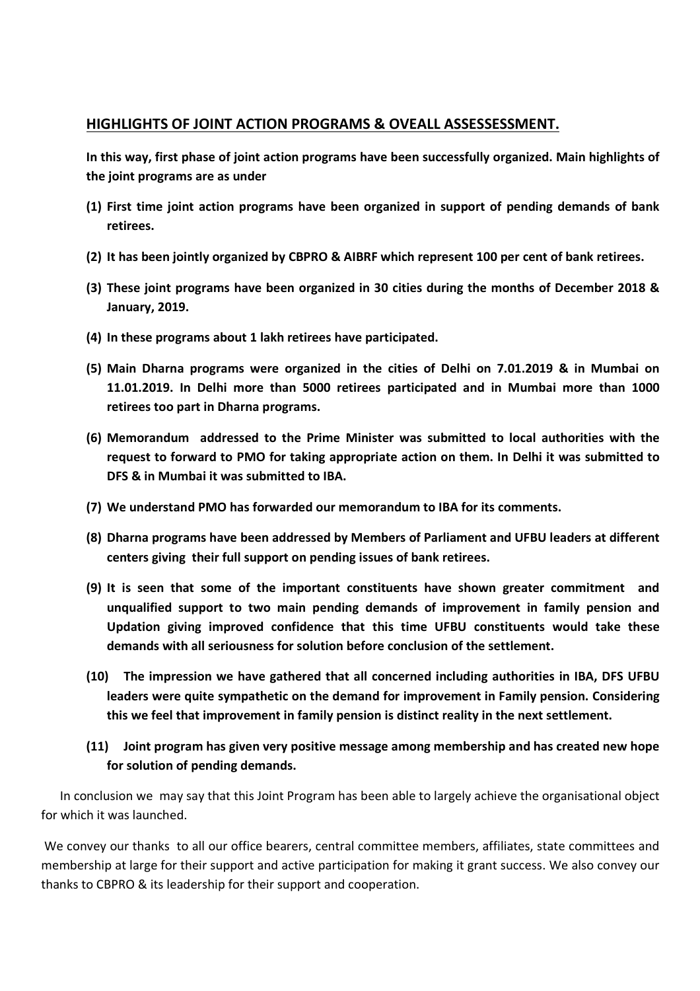#### **HIGHLIGHTS OF JOINT ACTION PROGRAMS & OVEALL ASSESSESSMENT.**

**In this way, first phase of joint action programs have been successfully organized. Main highlights of the joint programs are as under** 

- **(1) First time joint action programs have been organized in support of pending demands of bank retirees.**
- **(2) It has been jointly organized by CBPRO & AIBRF which represent 100 per cent of bank retirees.**
- **(3) These joint programs have been organized in 30 cities during the months of December 2018 & January, 2019.**
- **(4) In these programs about 1 lakh retirees have participated.**
- **(5) Main Dharna programs were organized in the cities of Delhi on 7.01.2019 & in Mumbai on 11.01.2019. In Delhi more than 5000 retirees participated and in Mumbai more than 1000 retirees too part in Dharna programs.**
- **(6) Memorandum addressed to the Prime Minister was submitted to local authorities with the request to forward to PMO for taking appropriate action on them. In Delhi it was submitted to DFS & in Mumbai it was submitted to IBA.**
- **(7) We understand PMO has forwarded our memorandum to IBA for its comments.**
- **(8) Dharna programs have been addressed by Members of Parliament and UFBU leaders at different centers giving their full support on pending issues of bank retirees.**
- **(9) It is seen that some of the important constituents have shown greater commitment and unqualified support to two main pending demands of improvement in family pension and Updation giving improved confidence that this time UFBU constituents would take these demands with all seriousness for solution before conclusion of the settlement.**
- **(10) The impression we have gathered that all concerned including authorities in IBA, DFS UFBU leaders were quite sympathetic on the demand for improvement in Family pension. Considering this we feel that improvement in family pension is distinct reality in the next settlement.**
- **(11) Joint program has given very positive message among membership and has created new hope for solution of pending demands.**

 In conclusion we may say that this Joint Program has been able to largely achieve the organisational object for which it was launched.

 We convey our thanks to all our office bearers, central committee members, affiliates, state committees and membership at large for their support and active participation for making it grant success. We also convey our thanks to CBPRO & its leadership for their support and cooperation.